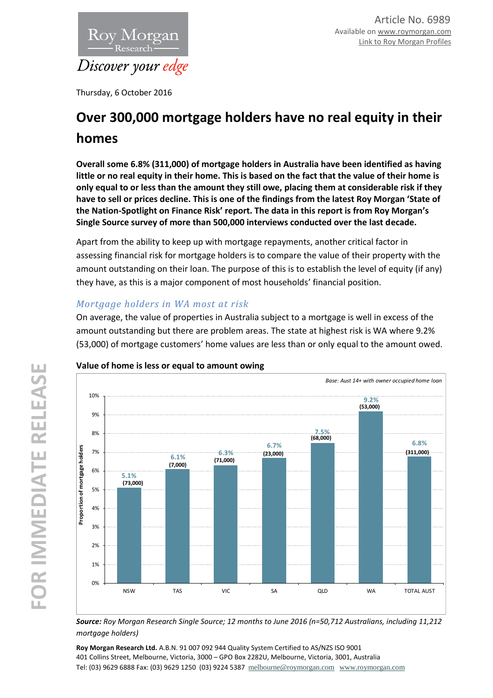

Thursday, 6 October 2016

# **Over 300,000 mortgage holders have no real equity in their homes**

**Overall some 6.8% (311,000) of mortgage holders in Australia have been identified as having little or no real equity in their home. This is based on the fact that the value of their home is only equal to or less than the amount they still owe, placing them at considerable risk if they have to sell or prices decline. This is one of the findings from the latest Roy Morgan 'State of the Nation-Spotlight on Finance Risk' report. The data in this report is from Roy Morgan's Single Source survey of more than 500,000 interviews conducted over the last decade.**

Apart from the ability to keep up with mortgage repayments, another critical factor in assessing financial risk for mortgage holders is to compare the value of their property with the amount outstanding on their loan. The purpose of this is to establish the level of equity (if any) they have, as this is a major component of most households' financial position.

# *Mortgage holders in WA most at risk*

On average, the value of properties in Australia subject to a mortgage is well in excess of the amount outstanding but there are problem areas. The state at highest risk is WA where 9.2% (53,000) of mortgage customers' home values are less than or only equal to the amount owed.



## **Value of home is less or equal to amount owing**

*Source: Roy Morgan Research Single Source; 12 months to June 2016 (n=50,712 Australians, including 11,212 mortgage holders)*

**Roy Morgan Research Ltd.** A.B.N. 91 007 092 944 Quality System Certified to AS/NZS ISO 9001 401 Collins Street, Melbourne, Victoria, 3000 – GPO Box 2282U, Melbourne, Victoria, 3001, Australia Tel: (03) 9629 6888 Fax: (03) 9629 1250 (03) 9224 5387 [melbourne@roymorgan.com](mailto:melbourne@roymorgan.com) [www.roymorgan.com](http://www.roymorgan.com/)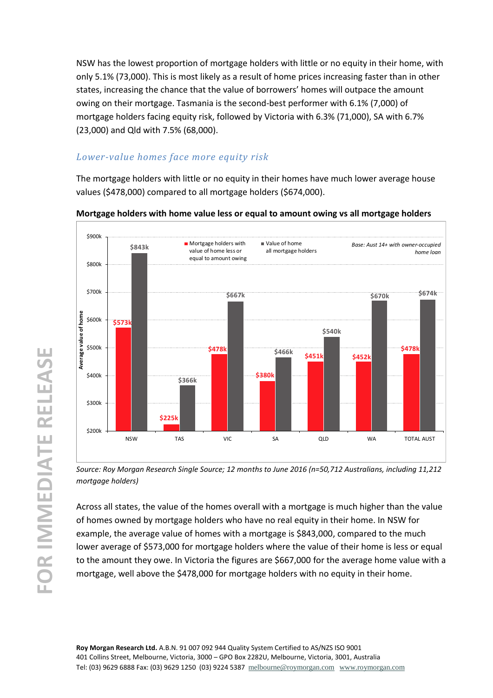NSW has the lowest proportion of mortgage holders with little or no equity in their home, with only 5.1% (73,000). This is most likely as a result of home prices increasing faster than in other states, increasing the chance that the value of borrowers' homes will outpace the amount owing on their mortgage. Tasmania is the second-best performer with 6.1% (7,000) of mortgage holders facing equity risk, followed by Victoria with 6.3% (71,000), SA with 6.7% (23,000) and Qld with 7.5% (68,000).

# *Lower-value homes face more equity risk*

The mortgage holders with little or no equity in their homes have much lower average house values (\$478,000) compared to all mortgage holders (\$674,000).



**Mortgage holders with home value less or equal to amount owing vs all mortgage holders**

*Source: Roy Morgan Research Single Source; 12 months to June 2016 (n=50,712 Australians, including 11,212 mortgage holders)*

Across all states, the value of the homes overall with a mortgage is much higher than the value of homes owned by mortgage holders who have no real equity in their home. In NSW for example, the average value of homes with a mortgage is \$843,000, compared to the much lower average of \$573,000 for mortgage holders where the value of their home is less or equal to the amount they owe. In Victoria the figures are \$667,000 for the average home value with a mortgage, well above the \$478,000 for mortgage holders with no equity in their home.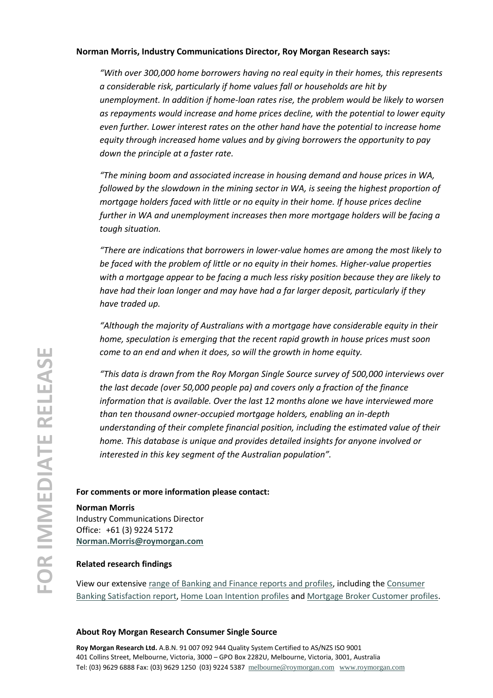#### **Norman Morris, Industry Communications Director, Roy Morgan Research says:**

*"With over 300,000 home borrowers having no real equity in their homes, this represents a considerable risk, particularly if home values fall or households are hit by unemployment. In addition if home-loan rates rise, the problem would be likely to worsen as repayments would increase and home prices decline, with the potential to lower equity even further. Lower interest rates on the other hand have the potential to increase home equity through increased home values and by giving borrowers the opportunity to pay down the principle at a faster rate.*

*"The mining boom and associated increase in housing demand and house prices in WA, followed by the slowdown in the mining sector in WA, is seeing the highest proportion of mortgage holders faced with little or no equity in their home. If house prices decline further in WA and unemployment increases then more mortgage holders will be facing a tough situation.*

*"There are indications that borrowers in lower-value homes are among the most likely to be faced with the problem of little or no equity in their homes. Higher-value properties with a mortgage appear to be facing a much less risky position because they are likely to have had their loan longer and may have had a far larger deposit, particularly if they have traded up.*

*"Although the majority of Australians with a mortgage have considerable equity in their home, speculation is emerging that the recent rapid growth in house prices must soon come to an end and when it does, so will the growth in home equity.*

*"This data is drawn from the Roy Morgan Single Source survey of 500,000 interviews over the last decade (over 50,000 people pa) and covers only a fraction of the finance information that is available. Over the last 12 months alone we have interviewed more than ten thousand owner-occupied mortgage holders, enabling an in-depth understanding of their complete financial position, including the estimated value of their home. This database is unique and provides detailed insights for anyone involved or interested in this key segment of the Australian population".*

#### **For comments or more information please contact:**

**Norman Morris**

Industry Communications Director Office: +61 (3) 9224 5172 **[Norman.Morris@roymorgan.com](mailto:Norman.Morris@roymorgan.com)**

#### **Related research findings**

View our extensiv[e range of Banking and Finance reports and profiles,](http://www.roymorganonlinestore.com/Browse/Australia/Banking-and-Finance.aspx) including the [Consumer](http://www.roymorganonlinestore.com/Browse/Australia/Banking-and-Finance/Banking-and-Finance-Satisfaction-Reports/Customer-Satisfaction-Consumer-Banking-Report-AUS.aspx)  [Banking Satisfaction report,](http://www.roymorganonlinestore.com/Browse/Australia/Banking-and-Finance/Banking-and-Finance-Satisfaction-Reports/Customer-Satisfaction-Consumer-Banking-Report-AUS.aspx) [Home Loan Intention profiles](http://www.roymorganonlinestore.com/Browse/Australia/Banking-and-Finance/Home-Loan-Intentions.aspx) an[d Mortgage Broker Customer profiles.](http://www.roymorganonlinestore.com/Browse/Australia/Banking-and-Finance/Mortgage-Brokers.aspx)

#### **About Roy Morgan Research Consumer Single Source**

**Roy Morgan Research Ltd.** A.B.N. 91 007 092 944 Quality System Certified to AS/NZS ISO 9001 401 Collins Street, Melbourne, Victoria, 3000 – GPO Box 2282U, Melbourne, Victoria, 3001, Australia Tel: (03) 9629 6888 Fax: (03) 9629 1250 (03) 9224 5387 [melbourne@roymorgan.com](mailto:melbourne@roymorgan.com) [www.roymorgan.com](http://www.roymorgan.com/)